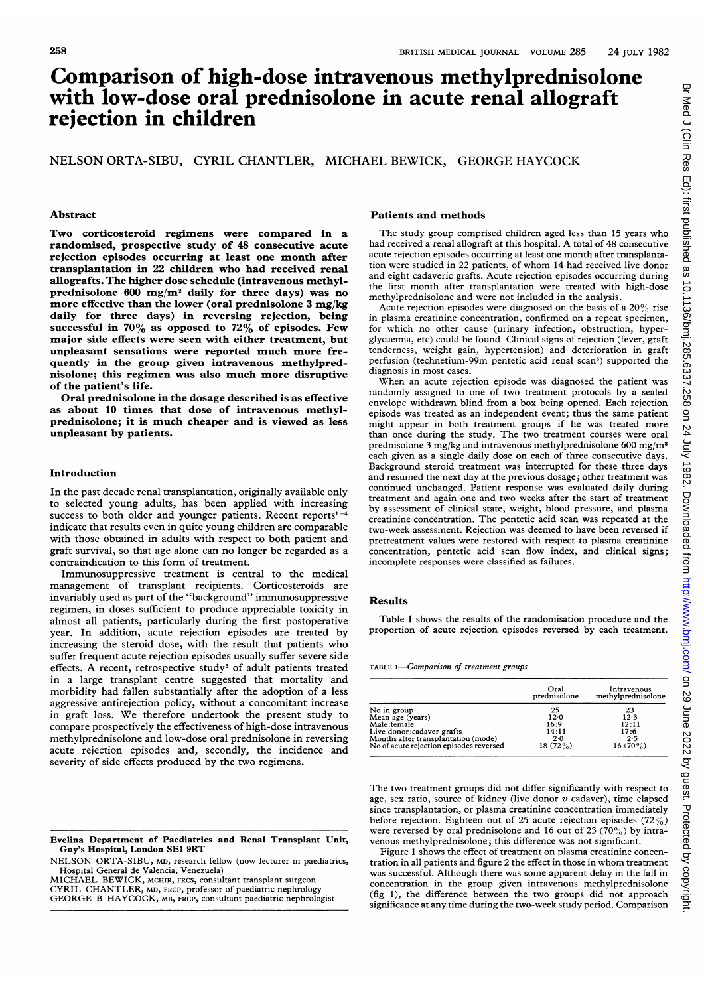## Comparison of high-dose intravenous methylprednisolone with low-dose oral prednisolone in acute renal allograft rejection in children

NELSON ORTA-SIBU, CYRIL CHANTLER, MICHAEL BEWICK, GEORGE HAYCOCK

Two corticosteroid regimens were compared in a randomised, prospective study of 48 consecutive acute rejection episodes occurring at least one month after transplantation in 22 children who had received renal allografts. The higher dose schedule (intravenous methylprednisolone 600 mg/m<sup>2</sup> daily for three days) was no more effective than the lower (oral prednisolone 3 mg/kg daily for three days) in reversing rejection, being successful in  $70\%$  as opposed to  $72\%$  of episodes. Few major side effects were seen with either treatment, but unpleasant sensations were reported much more frequently in the group given intravenous methylprednisolone; this regimen was also much more disruptive of the patient's life.

Oral prednisolone in the dosage described is as effective as about 10 times that dose of intravenous methylprednisolone; it is much cheaper and is viewed as less unpleasant by patients.

#### Introduction

In the past decade renal transplantation, originally available only to selected young adults, has been applied with increasing success to both older and younger patients. Recent reports<sup>1-4</sup> indicate that results even in quite young children are comparable with those obtained in adults with respect to both patient and graft survival, so that age alone can no longer be regarded as a contraindication to this form of treatment.

Immunosuppressive treatment is central to the medical management of transplant recipients. Corticosteroids are invariably used as part of the "background" immunosuppressive regimen, in doses sufficient to produce appreciable toxicity in almost all patients, particularly during the first postoperative year. In addition, acute rejection episodes are treated by increasing the steroid dose, with the result that patients who suffer frequent acute rejection episodes usually suffer severe side effects. A recent, retrospective study<sup>5</sup> of adult patients treated in a large transplant centre suggested that mortality and morbidity had fallen substantially after the adoption of a less aggressive antirejection policy, without a concomitant increase in graft loss. We therefore undertook the present study to compare prospectively the effectiveness of high-dose intravenous methylprednisolone and low-dose oral prednisolone in reversing acute rejection episodes and, secondly, the incidence and severity of side effects produced by the two regimens.

NELSON ORTA-SIBU, MD, research fellow (now lecturer in paediatrics, Hospital General de Valencia, Venezuela) MICHAEL BEWICK, MCHIR, FRCS, consultant transplant surgeon

CYRIL CHANTLER, MD, FRCP, professor of paediatric nephrology GEORGE B HAYCOCK, MB, FRCP, consultant paediatric nephrologist

#### Abstract **Patients and methods**

The study group comprised children aged less than 15 years who had received <sup>a</sup> renal allograft at this hospital. A total of <sup>48</sup> consecutive acute rejection episodes occurring at least one month after transplantation were studied in 22 patients, of whom 14 had received live donor and eight cadaveric grafts. Acute rejection episodes occurring during the first month after transplantation were treated with high-dose methylprednisolone and were not included in the analysis.

Acute rejection episodes were diagnosed on the basis of a  $20\%$  rise in plasma creatinine concentration, confirmed on a repeat specimen, for which no other cause (urinary infection, obstruction, hyperglycaemia, etc) could be found. Clinical signs of rejection (fever, graft tenderness, weight gain, hypertension) and deterioration in graft perfusion (technetium-99m pentetic acid renal scan<sup>6</sup>) supported the diagnosis in most cases.

When an acute rejection episode was diagnosed the patient was randomly assigned to one of two treatment protocols by a sealed envelope withdrawn blind from a box being opened. Each rejection episode was treated as an independent event; thus the same patient might appear in both treatment groups if he was treated more than once during the study. The two treatment courses were oral prednisolone 3 mg/kg and intravenous methylprednisolone 600 mg/m<sup>2</sup> each given as a single daily dose on each of three consecutive days. Background steroid treatment was interrupted for these three days and resumed the next day at the previous dosage; other treatment was continued unchanged. Patient response was evaluated daily during treatment and again one and two weeks after the start of treatment by assessment of clinical state, weight, blood pressure, and plasma creatinine concentration. The pentetic acid scan was repeated at the two-week assessment. Rejection was deemed to have been reversed if pretreatment values were restored with respect to plasma creatinine concentration, pentetic acid scan flow index, and clinical signs; incomplete responses were classified as failures.

#### Results

Table <sup>I</sup> shows the results of the randomisation procedure and the proportion of acute rejection episodes reversed by each treatment.

TABLE I-Comparison of treatment groups

|                                         | Oral<br>prednisolone | Intravenous<br>methylprednisolone |
|-----------------------------------------|----------------------|-----------------------------------|
| No in group                             | 25                   | 23                                |
| Mean age (years)                        | 12.0                 | 12.3                              |
| Male:female                             | 16:9                 | 12:11                             |
| Live donor: cadaver grafts              | 14:11                | 17:6                              |
| Months after transplantation (mode)     | 2.0                  | 2.5                               |
| No of acute rejection episodes reversed | 18 $(72\%)$          | 16 $(70\%)$                       |

The two treatment groups did not differ significantly with respect to age, sex ratio, source of kidney (live donor  $v$  cadaver), time elapsed since transplantation, or plasma creatinine concentration immediately before rejection. Eighteen out of 25 acute rejection episodes (72%) were reversed by oral prednisolone and 16 out of 23 (70%) by intravenous methylprednisolone; this difference was not significant.

Figure 1 shows the effect of treatment on plasma creatinine concentration in all patients and figure 2 the effect in those in whom treatment was successful. Although there was some apparent delay in the fall in concentration in the group given intravenous methylprednisolone (fig 1), the difference between the two groups did not approach significance at any time during the two-week study period. Comparison

Evelina Department of Paediatrics and Renal Transplant Unit, Guy's Hospital, London SE1 9RT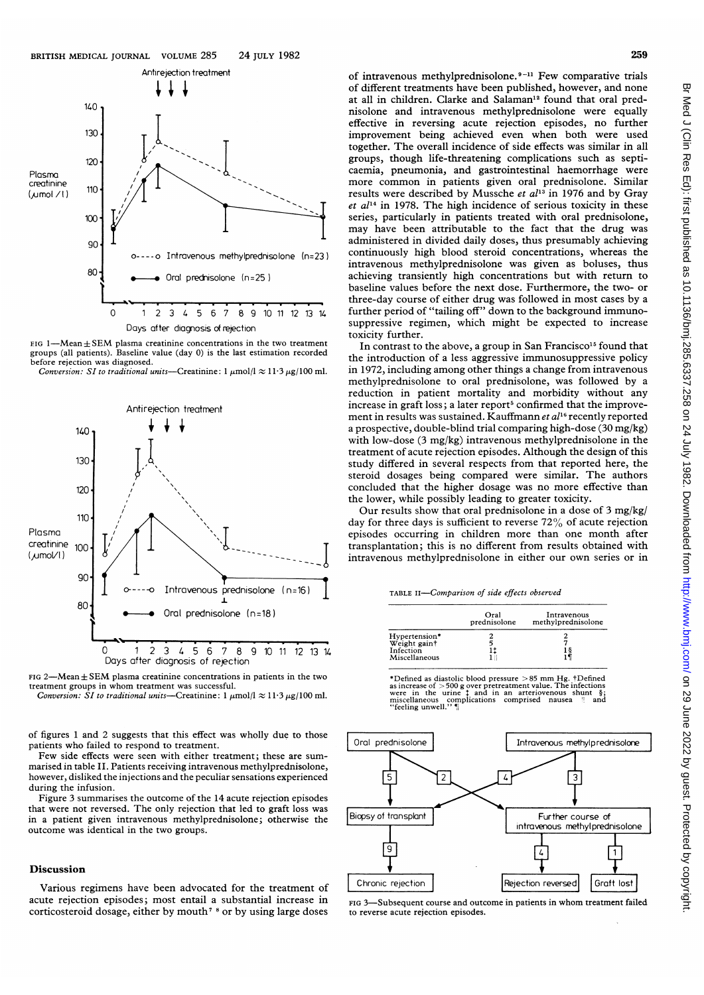

 $FIG$  1-Mean + SEM plasma creatinine concentrations in the two treatment groups (all patients). Baseline value (day 0) is the last estimation recorded before rejection was diagnosed.

Conversion: SI to traditional units-Creatinine:  $1 \mu mol/l \approx 11.3 \mu g/100$  ml.





Conversion: SI to traditional units-Creatinine:  $1 \mu mol/l \approx 11.3 \mu g/100 \text{ ml.}$ 

of figures <sup>1</sup> and 2 suggests that this effect was wholly due to those patients who failed to respond to treatment.

Few side effects were seen with either treatment; these are summarised in table II. Patients receiving intravenous methylprednisolone, however, disliked the injections and the peculiar sensations experienced during the infusion.

Figure 3 summarises the outcome of the 14 acute rejection episodes that were not reversed. The only rejection that led to graft loss was in a patient given intravenous methylprednisolone; otherwise the outcome was identical in the two groups.

### Discussion

Various regimens have been advocated for the treatment of acute rejection episodes; most entail a substantial increase in corticosteroid dosage, either by mouth<sup>7</sup> <sup>8</sup> or by using large doses

of intravenous methylprednisolone.<sup>9-11</sup> Few comparative trials of different treatments have been published, however, and none at all in children. Clarke and Salaman<sup>12</sup> found that oral prednisolone and intravenous methylprednisolone were equally effective in reversing acute rejection episodes, no further improvement being achieved even when both were used together. The overall incidence of side effects was similar in all groups, though life-threatening complications such as septicaemia, pneumonia, and gastrointestinal haemorrhage were more common in patients given oral prednisolone. Similar results were described by Mussche et  $al<sup>13</sup>$  in 1976 and by Gray  $et$   $al<sup>14</sup>$  in 1978. The high incidence of serious toxicity in these series, particularly in patients treated with oral prednisolone, may have been attributable to the fact that the drug was administered in divided daily doses, thus presumably achieving continuously high blood steroid concentrations, whereas the intravenous methylprednisolone was given as boluses, thus achieving transiently high concentrations but with return to baseline values before the next dose. Furthermore, the two- or three-day course of either drug was followed in most cases by a further period of "tailing off" down to the background immunosuppressive regimen, which might be expected to increase toxicity further.

In contrast to the above, a group in San Francisco<sup>15</sup> found that the introduction of a less aggressive immunosuppressive policy in 1972, including among other things a change from intravenous methylprednisolone to oral prednisolone, was followed by a reduction in patient mortality and morbidity without any increase in graft loss; a later report<sup>5</sup> confirmed that the improvement in results was sustained. Kauffmann et al<sup>16</sup> recently reported a prospective, double-blind trial comparing high-dose (30 mg/kg) with low-dose (3 mg/kg) intravenous methylprednisolone in the treatment of acute rejection episodes. Although the design of this study differed in several respects from that reported here, the steroid dosages being compared were similar. The authors concluded that the higher dosage was no more effective than the lower, while possibly leading to greater toxicity.

Our results show that oral prednisolone in <sup>a</sup> dose of 3 mg/kg/ day for three days is sufficient to reverse 72% of acute rejection episodes occurring in children more than one month after transplantation; this is no different from results obtained with intravenous methylprednisolone in either our own series or in

TABLE iI-Comparison of side effects observed

|                               | Oral<br>prednisolone | Intravenous<br>methylprednisolone |
|-------------------------------|----------------------|-----------------------------------|
| Hypertension*<br>Weight gaint |                      |                                   |
| Infection<br>Miscellaneous    |                      |                                   |

\*Defined as diastolic blood pressure >85 mm Hg. †Defined<br>as increase of >500 g over pretreatment value. The infections<br>were in the urine  $\ddagger$  and in an arteriovenous shunt  $\S$ ;<br>miscellaneous complications comprised nause



FIG 3-Subsequent course and outcome in patients in whom treatment failed to reverse acute rejection episodes.